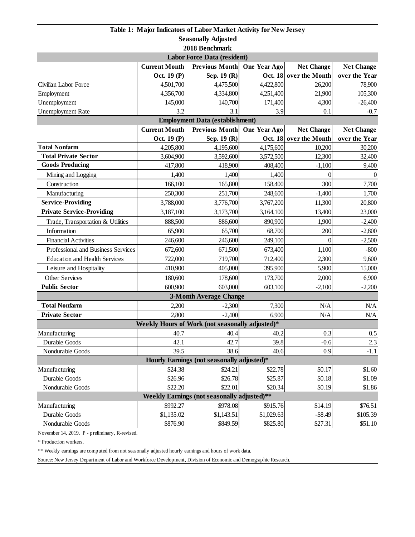|                                                |                                                               | Table 1: Major Indicators of Labor Market Activity for New Jersey |              |                        |                   |  |  |  |
|------------------------------------------------|---------------------------------------------------------------|-------------------------------------------------------------------|--------------|------------------------|-------------------|--|--|--|
|                                                |                                                               | <b>Seasonally Adjusted</b>                                        |              |                        |                   |  |  |  |
|                                                |                                                               | 2018 Benchmark                                                    |              |                        |                   |  |  |  |
| Labor Force Data (resident)                    |                                                               |                                                                   |              |                        |                   |  |  |  |
|                                                | <b>Current Month</b>                                          | <b>Previous Month</b>                                             | One Year Ago | <b>Net Change</b>      | <b>Net Change</b> |  |  |  |
|                                                | Oct. 19 (P)                                                   | Sep. 19 (R)                                                       |              | Oct. 18 over the Month | over the Year     |  |  |  |
| Civilian Labor Force                           | 4,501,700                                                     | 4,475,500                                                         | 4,422,800    | 26,200                 | 78,900            |  |  |  |
| Employment                                     | 4,356,700                                                     | 4,334,800                                                         | 4,251,400    | 21,900                 | 105,300           |  |  |  |
| Unemployment                                   | 145,000                                                       | 140,700                                                           | 171,400      | 4,300                  | $-26,400$         |  |  |  |
| <b>Unemployment Rate</b>                       | 3.2                                                           | 3.1                                                               | 3.9          | 0.1                    | $-0.7$            |  |  |  |
|                                                |                                                               | <b>Employment Data (establishment)</b>                            |              |                        |                   |  |  |  |
|                                                | <b>Current Month</b><br><b>Previous Month</b><br>One Year Ago |                                                                   |              | <b>Net Change</b>      | <b>Net Change</b> |  |  |  |
|                                                | Oct. 19 (P)                                                   | Sep. 19 (R)                                                       | Oct. 18      | over the Month         | over the Year     |  |  |  |
| <b>Total Nonfarm</b>                           | 4,205,800                                                     | 4,195,600                                                         | 4,175,600    | 10,200                 | 30,200            |  |  |  |
| <b>Total Private Sector</b>                    | 3,604,900                                                     | 3,592,600                                                         | 3,572,500    | 12,300                 | 32,400            |  |  |  |
| <b>Goods Producing</b>                         | 417,800                                                       | 418,900                                                           | 408,400      | $-1,100$               | 9,400             |  |  |  |
| Mining and Logging                             | 1,400                                                         | 1,400                                                             | 1,400        | $\Omega$               | $\Omega$          |  |  |  |
| Construction                                   | 166,100                                                       | 165,800                                                           | 158,400      | 300                    | 7,700             |  |  |  |
| Manufacturing                                  | 250,300                                                       | 251,700                                                           | 248,600      | $-1,400$               | 1,700             |  |  |  |
| <b>Service-Providing</b>                       | 3,788,000                                                     | 3,776,700                                                         | 3,767,200    | 11,300                 | 20,800            |  |  |  |
| <b>Private Service-Providing</b>               | 3,187,100                                                     | 3,173,700                                                         | 3,164,100    | 13,400                 | 23,000            |  |  |  |
| Trade, Transportation & Utilities              | 888,500                                                       | 886,600                                                           | 890,900      | 1,900                  | $-2,400$          |  |  |  |
| Information                                    | 65,900                                                        | 65,700                                                            | 68,700       | 200                    | $-2,800$          |  |  |  |
| <b>Financial Activities</b>                    | 246,600                                                       | 246,600                                                           | 249,100      | $\theta$               | $-2,500$          |  |  |  |
| Professional and Business Services             | 672,600                                                       | 671,500                                                           | 673,400      | 1,100                  | $-800$            |  |  |  |
| <b>Education and Health Services</b>           | 722,000                                                       | 719,700                                                           | 712,400      | 2,300                  | 9,600             |  |  |  |
| Leisure and Hospitality                        | 410,900                                                       | 405,000                                                           | 395,900      | 5,900                  | 15,000            |  |  |  |
| <b>Other Services</b>                          | 180,600                                                       | 178,600                                                           | 173,700      | 2,000                  | 6,900             |  |  |  |
| <b>Public Sector</b>                           | 600,900                                                       | 603,000                                                           | 603,100      | $-2,100$               | $-2,200$          |  |  |  |
|                                                |                                                               | <b>3-Month Average Change</b>                                     |              |                        |                   |  |  |  |
| <b>Total Nonfarm</b>                           | 2,200                                                         | $-2,300$                                                          | 7,300        | N/A                    | N/A               |  |  |  |
| <b>Private Sector</b>                          | 2,800                                                         | $-2,400$                                                          | 6,900        | N/A                    | N/A               |  |  |  |
|                                                |                                                               | Weekly Hours of Work (not seasonally adjusted)*                   |              |                        |                   |  |  |  |
| Manufacturing                                  | 40.7                                                          | 40.4                                                              | 40.2         | 0.3                    | 0.5               |  |  |  |
| Durable Goods                                  | 42.1                                                          | 42.7                                                              | 39.8         | $-0.6$                 | 2.3               |  |  |  |
| Nondurable Goods                               | 39.5                                                          | 38.6                                                              | 40.6         | 0.9                    | $-1.1$            |  |  |  |
|                                                |                                                               | Hourly Earnings (not seasonally adjusted)*                        |              |                        |                   |  |  |  |
| Manufacturing                                  | \$24.38                                                       | \$24.21                                                           | \$22.78      | \$0.17                 | \$1.60            |  |  |  |
| Durable Goods                                  | \$26.96                                                       | \$26.78                                                           | \$25.87      | \$0.18                 | \$1.09            |  |  |  |
| Nondurable Goods                               | \$22.20                                                       | \$22.01                                                           | \$20.34      | \$0.19                 | \$1.86            |  |  |  |
|                                                |                                                               | Weekly Earnings (not seasonally adjusted)**                       |              |                        |                   |  |  |  |
| Manufacturing                                  | \$992.27                                                      | \$978.08                                                          | \$915.76     | \$14.19                | \$76.51           |  |  |  |
| Durable Goods                                  | \$1,135.02                                                    | \$1,143.51                                                        | \$1,029.63   | $-$ \$8.49             | \$105.39          |  |  |  |
| Nondurable Goods                               | \$876.90                                                      | \$849.59                                                          | \$825.80     | \$27.31                | \$51.10           |  |  |  |
| November 14, 2019. P - preliminary, R-revised. |                                                               |                                                                   |              |                        |                   |  |  |  |
| * Production workers.                          |                                                               |                                                                   |              |                        |                   |  |  |  |

\*\* Weekly earnings are computed from not seasonally adjusted hourly earnings and hours of work data.

Source: New Jersey Department of Labor and Workforce Development, Division of Economic and Demographic Research.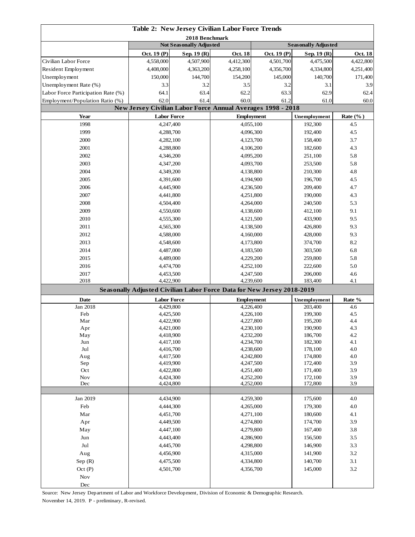| Table 2: New Jersey Civilian Labor Force Trends |                                 |                                     |                                                                                     |                                                                                         |                         |                            |  |
|-------------------------------------------------|---------------------------------|-------------------------------------|-------------------------------------------------------------------------------------|-----------------------------------------------------------------------------------------|-------------------------|----------------------------|--|
| 2018 Benchmark                                  |                                 |                                     |                                                                                     |                                                                                         |                         |                            |  |
|                                                 |                                 | <b>Not Seasonally Adjusted</b>      |                                                                                     |                                                                                         |                         | <b>Seasonally Adjusted</b> |  |
|                                                 | Oct. 19 (P)                     | Sep. 19 (R)                         | <b>Oct. 18</b>                                                                      | Oct. 19 (P)                                                                             | Sep. 19 (R)             | <b>Oct. 18</b>             |  |
| Civilian Labor Force                            | 4,558,000                       | 4,507,900                           | 4,412,300                                                                           | 4,501,700                                                                               | 4,475,500               | 4,422,800                  |  |
| Resident Employment                             | 4,408,000                       | 4,363,200                           | 4,258,100                                                                           | 4,356,700                                                                               | 4,334,800               | 4,251,400                  |  |
| Unemployment                                    | 150,000                         | 144,700                             | 154,200                                                                             | 145,000                                                                                 | 140,700                 | 171,400                    |  |
| Unemployment Rate (%)                           | 3.3                             | 3.2                                 | 3.5                                                                                 | 3.2                                                                                     | 3.1<br>62.9             | 3.9                        |  |
| Labor Force Participation Rate (%)              | 64.1                            | 63.4                                |                                                                                     | 62.2<br>63.3                                                                            |                         | 62.4                       |  |
| Employment/Population Ratio (%)                 | 62.0                            | 61.4                                | 61.2<br>60.0                                                                        |                                                                                         | 61.0<br>60.0            |                            |  |
|                                                 | <b>Labor Force</b>              |                                     |                                                                                     | <b>New Jersey Civilian Labor Force Annual Averages 1998 - 2018</b><br><b>Employment</b> |                         |                            |  |
| Year<br>1998                                    |                                 |                                     | 4,055,100                                                                           |                                                                                         | Unemployment<br>192,300 | Rate $(\%$ )<br>4.5        |  |
| 1999                                            | 4,247,400<br>4,288,700          |                                     | 4,096,300                                                                           |                                                                                         | 192,400                 | 4.5                        |  |
| 2000                                            | 4,282,100                       |                                     |                                                                                     |                                                                                         | 158,400                 | 3.7                        |  |
| 2001                                            |                                 |                                     | 4,123,700                                                                           |                                                                                         | 182,600                 | 4.3                        |  |
| 2002                                            | 4,288,800<br>4,346,200          |                                     | 4,106,200                                                                           |                                                                                         | 251,100                 | 5.8                        |  |
| 2003                                            | 4,347,200                       |                                     | 4,095,200<br>4,093,700                                                              |                                                                                         | 253,500                 | 5.8                        |  |
|                                                 |                                 |                                     |                                                                                     |                                                                                         | 210,300                 |                            |  |
| 2004                                            | 4,349,200                       |                                     |                                                                                     | 4,138,800                                                                               |                         | 4.8                        |  |
| 2005                                            | 4,391,600                       |                                     | 4,194,900                                                                           |                                                                                         | 196,700                 | 4.5                        |  |
| 2006                                            | 4,445,900                       |                                     | 4,236,500                                                                           |                                                                                         | 209,400                 | 4.7                        |  |
| 2007                                            | 4,441,800                       |                                     | 4,251,800                                                                           |                                                                                         | 190,000                 | 4.3                        |  |
| 2008                                            | 4,504,400                       |                                     | 4,264,000                                                                           |                                                                                         | 240,500<br>412,100      | 5.3                        |  |
| 2009                                            | 4,550,600                       |                                     |                                                                                     | 4,138,600                                                                               |                         | 9.1                        |  |
| 2010                                            | 4,555,300                       |                                     | 4,121,500                                                                           |                                                                                         | 433,900<br>426,800      | 9.5                        |  |
| 2011                                            | 4,565,300                       |                                     |                                                                                     | 4,138,500                                                                               |                         | 9.3                        |  |
| 2012                                            | 4,588,000                       |                                     | 4,160,000                                                                           |                                                                                         | 428,000                 | 9.3                        |  |
| 2013                                            | 4,548,600                       |                                     | 4,173,800                                                                           |                                                                                         | 374,700                 | 8.2                        |  |
| 2014                                            | 4,487,000                       |                                     | 4,183,500                                                                           |                                                                                         | 303,500                 | 6.8                        |  |
| 2015                                            | 4,489,000                       |                                     | 4,229,200                                                                           |                                                                                         | 259,800                 | 5.8                        |  |
| 2016                                            | 4,474,700                       |                                     | 4,252,100                                                                           |                                                                                         | 222,600                 | 5.0                        |  |
| 2017                                            |                                 | 4,247,500<br>4,453,500<br>4,422,900 |                                                                                     |                                                                                         | 206,000                 | 4.6                        |  |
| 2018                                            |                                 |                                     | 4,239,600<br>Seasonally Adjusted Civilian Labor Force Data for New Jersey 2018-2019 |                                                                                         | 183,400                 | 4.1                        |  |
|                                                 |                                 |                                     |                                                                                     |                                                                                         | Unemployment            |                            |  |
| Date<br>Jan 2018                                | <b>Labor Force</b><br>4,429,800 |                                     |                                                                                     | <b>Employment</b><br>4,226,400                                                          |                         | Rate %<br>4.6              |  |
| Feb                                             | 4,425,500                       |                                     |                                                                                     |                                                                                         | 203,400<br>199,300      | 4.5                        |  |
| Mar                                             | 4,422,900                       |                                     | 4,226,100<br>4,227,800                                                              |                                                                                         | 195,200                 | 4.4                        |  |
| Apr                                             | 4,421,000                       |                                     | 4,230,100                                                                           |                                                                                         | 190,900                 | 4.3                        |  |
| May                                             | 4,418,900                       |                                     | 4,232,200                                                                           |                                                                                         | 186,700                 | 4.2                        |  |
| Jun                                             | 4,417,100                       |                                     | 4,234,700                                                                           |                                                                                         | 182,300                 | 4.1                        |  |
| $_{\rm{Jul}}$                                   | 4,416,700                       |                                     | 4,238,600                                                                           |                                                                                         | 178,100                 | 4.0                        |  |
| Aug                                             | 4,417,500                       |                                     | 4,242,800                                                                           |                                                                                         | 174,800                 | 4.0                        |  |
| Sep                                             | 4,419,900                       |                                     | 4,247,500                                                                           |                                                                                         | 172,400                 | 3.9                        |  |
| Oct                                             | 4,422,800<br>4,424,300          |                                     | 4,251,400                                                                           |                                                                                         | 171,400                 | 3.9                        |  |
| Nov<br>Dec                                      | 4,424,800                       |                                     | 4,252,200<br>4,252,000                                                              |                                                                                         | 172,100<br>172,800      | 3.9<br>3.9                 |  |
|                                                 |                                 |                                     |                                                                                     |                                                                                         |                         |                            |  |
| Jan 2019                                        | 4,434,900                       |                                     | 4,259,300                                                                           |                                                                                         | 175,600                 | 4.0                        |  |
| Feb                                             | 4,444,300                       |                                     | 4,265,000                                                                           |                                                                                         | 179,300                 | 4.0                        |  |
| Mar                                             | 4,451,700                       |                                     | 4,271,100                                                                           |                                                                                         | 180,600                 | 4.1                        |  |
| Apr                                             | 4,449,500                       |                                     | 4,274,800                                                                           |                                                                                         | 174,700                 | 3.9                        |  |
| May                                             | 4,447,100                       |                                     | 4,279,800                                                                           |                                                                                         | 167,400                 | 3.8                        |  |
| Jun                                             | 4,443,400                       |                                     | 4,286,900                                                                           |                                                                                         | 156,500                 | 3.5                        |  |
| $_{\rm{Jul}}$                                   | 4,445,700                       |                                     | 4,298,800                                                                           |                                                                                         | 146,900                 | 3.3                        |  |
| Aug                                             | 4,456,900                       |                                     | 4,315,000                                                                           |                                                                                         | 141,900                 | 3.2                        |  |
| Sep(R)                                          | 4,475,500                       |                                     | 4,334,800                                                                           |                                                                                         | 140,700                 | 3.1                        |  |
| Oct(P)                                          | 4,501,700                       |                                     | 4,356,700                                                                           |                                                                                         | 145,000                 | 3.2                        |  |
| Nov                                             |                                 |                                     |                                                                                     |                                                                                         |                         |                            |  |
| Dec                                             |                                 |                                     |                                                                                     |                                                                                         |                         |                            |  |

Source: New Jersey Department of Labor and Workforce Development, Division of Economic & Demographic Research. November 14, 2019. P - preliminary, R-revised.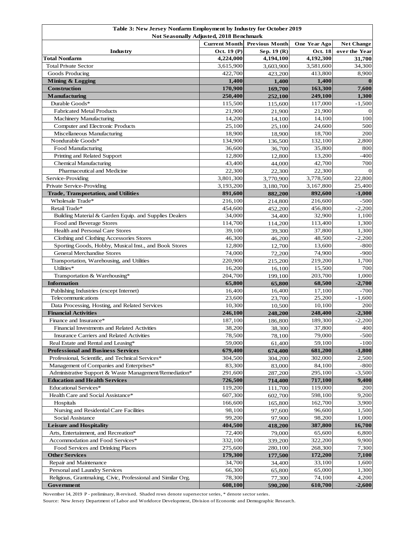| Table 3: New Jersey Nonfarm Employment by Industry for October 2019<br>Not Seasonally Adjusted, 2018 Benchmark |                    |                    |                    |                                    |  |  |
|----------------------------------------------------------------------------------------------------------------|--------------------|--------------------|--------------------|------------------------------------|--|--|
| <b>Current Month</b><br><b>Previous Month</b><br>One Year Ago                                                  |                    |                    |                    |                                    |  |  |
| Industry                                                                                                       | Oct. 19 (P)        | Sep. 19 (R)        | <b>Oct. 18</b>     | <b>Net Change</b><br>over the Year |  |  |
| <b>Total Nonfarm</b>                                                                                           | 4,224,000          | 4,194,100          | 4,192,300          | 31,700                             |  |  |
| <b>Total Private Sector</b>                                                                                    | 3,615,900          | 3,603,900          | 3,581,600          | 34,300                             |  |  |
| Goods Producing                                                                                                | 422,700            | 423,200            | 413,800            | 8,900                              |  |  |
| <b>Mining &amp; Logging</b>                                                                                    | 1,400              | 1,400              | 1,400              |                                    |  |  |
| <b>Construction</b>                                                                                            | 170,900            | 169,700            | 163,300            | 7,600                              |  |  |
| Manufacturing                                                                                                  | 250,400            | 252,100            | 249,100            | 1,300                              |  |  |
| Durable Goods*                                                                                                 | 115,500            | 115,600            | 117,000            | $-1,500$                           |  |  |
| <b>Fabricated Metal Products</b>                                                                               | 21,900             | 21,900             | 21,900             | $\Omega$                           |  |  |
| Machinery Manufacturing                                                                                        | 14,200             | 14,100             | 14,100             | 100                                |  |  |
| Computer and Electronic Products                                                                               | 25,100             | 25,100             | 24,600             | 500                                |  |  |
| Miscellaneous Manufacturing                                                                                    | 18,900             | 18,900             | 18,700             | 200                                |  |  |
| Nondurable Goods*                                                                                              | 134,900            | 136,500            | 132,100            | 2,800                              |  |  |
| Food Manufacturing                                                                                             | 36,600             | 36,700             | 35,800             | 800                                |  |  |
| Printing and Related Support                                                                                   | 12,800             | 12,800             | 13,200             | $-400$                             |  |  |
| <b>Chemical Manufacturing</b>                                                                                  | 43,400             | 44,000             | 42,700             | 700                                |  |  |
| Pharmaceutical and Medicine                                                                                    | 22,300             | 22,300             | 22,300             | $\overline{0}$                     |  |  |
| Service-Providing                                                                                              | 3,801,300          | 3,770,900          | 3,778,500          | 22,800                             |  |  |
| Private Service-Providing                                                                                      | 3,193,200          | 3,180,700          | 3,167,800          | 25,400                             |  |  |
| <b>Trade, Transportation, and Utilities</b>                                                                    | 891,600            | 882,200            | 892,600            | $-1,000$                           |  |  |
| Wholesale Trade*                                                                                               | 216,100            | 214,800            | 216,600            | -500                               |  |  |
| Retail Trade*                                                                                                  | 454,600            | 452,200            | 456,800            | $-2,200$                           |  |  |
| Building Material & Garden Equip. and Supplies Dealers                                                         | 34,000             | 34,400             | 32,900             | 1,100                              |  |  |
| Food and Beverage Stores                                                                                       | 114,700            | 114,200            | 113,400            | 1,300                              |  |  |
| Health and Personal Care Stores                                                                                | 39,100             | 39,300             | 37,800             | 1,300                              |  |  |
| Clothing and Clothing Accessories Stores                                                                       | 46,300             | 46,200             | 48,500             | $-2,200$                           |  |  |
| Sporting Goods, Hobby, Musical Inst., and Book Stores                                                          | 12,800             | 12,700             | 13,600             | $-800$                             |  |  |
| <b>General Merchandise Stores</b>                                                                              | 74,000             | 72,200             | 74,900             | -900                               |  |  |
| Transportation, Warehousing, and Utilities                                                                     | 220,900            | 215,200            | 219,200            | 1,700                              |  |  |
| Utilities*                                                                                                     | 16,200             | 16,100             | 15,500             | 700                                |  |  |
| Transportation & Warehousing*                                                                                  | 204,700            | 199,100            | 203,700            | 1,000                              |  |  |
| <b>Information</b>                                                                                             | 65,800             | 65,800             | 68,500             | $-2,700$                           |  |  |
| Publishing Industries (except Internet)                                                                        | 16,400             | 16,400             | 17,100             | $-700$                             |  |  |
| Telecommunications                                                                                             | 23,600             | 23,700             | 25,200             | $-1,600$                           |  |  |
| Data Processing, Hosting, and Related Services                                                                 | 10,300             | 10,500             | 10,100             | 200                                |  |  |
| <b>Financial Activities</b>                                                                                    | 246,100            | 248,200            | 248,400            | $-2,300$                           |  |  |
| Finance and Insurance*                                                                                         | 187,100            | 186,800            | 189,300            | $-2,200$                           |  |  |
| Financial Investments and Related Activities                                                                   | 38,200             | 38,300             | 37,800             | 400                                |  |  |
| Insurance Carriers and Related Activities                                                                      | 78,500             | 78,100             | 79,000             | $-500$                             |  |  |
| Real Estate and Rental and Leasing*                                                                            | 59,000             | 61,400             | 59,100             | $-100$                             |  |  |
| <b>Professional and Business Services</b>                                                                      | 679,400            | 674,400            | 681,200            | $-1,800$                           |  |  |
| Professional, Scientific, and Technical Services*                                                              | 304,500            | 304,200            | 302,000            | 2,500                              |  |  |
| Management of Companies and Enterprises*                                                                       | 83,300             | 83,000             | 84,100             | -800                               |  |  |
| Administrative Support & Waste Management/Remediation*                                                         | 291,600            | 287,200            | 295,100            | $-3,500$                           |  |  |
| <b>Education and Health Services</b>                                                                           | 726,500            | 714,400            | 717,100            | 9,400                              |  |  |
| Educational Services*                                                                                          | 119,200            | 111,700            | 119,000            | 200                                |  |  |
| Health Care and Social Assistance*                                                                             | 607,300            | 602,700            | 598,100            | 9,200                              |  |  |
| Hospitals                                                                                                      | 166,600<br>98,100  | 165,800            | 162,700            | 3,900                              |  |  |
| Nursing and Residential Care Facilities                                                                        | 99,200             | 97,600             | 96,600             | 1,500                              |  |  |
| Social Assistance<br><b>Leisure and Hospitality</b>                                                            | 404,500            | 97,900             | 98,200<br>387,800  | 1,000<br>16,700                    |  |  |
| Arts, Entertainment, and Recreation*                                                                           | 72,400             | 418,200<br>79,000  | 65,600             | 6,800                              |  |  |
| Accommodation and Food Services*                                                                               |                    |                    |                    | 9,900                              |  |  |
| Food Services and Drinking Places                                                                              | 332,100<br>275,600 | 339,200            | 322,200<br>268,300 | 7,300                              |  |  |
| <b>Other Services</b>                                                                                          | 179,300            | 280,100<br>177,500 | 172,200            | 7,100                              |  |  |
| Repair and Maintenance                                                                                         | 34,700             | 34,400             | 33,100             | 1,600                              |  |  |
| Personal and Laundry Services                                                                                  | 66,300             | 65,800             | 65,000             | 1,300                              |  |  |
| Religious, Grantmaking, Civic, Professional and Similar Org.                                                   | 78,300             | 77,300             | 74,100             | 4,200                              |  |  |
| Government                                                                                                     | 608,100            | 590,200            | 610,700            | $-2,600$                           |  |  |

November 14, 2019 P - preliminary, R-revised. Shaded rows denote supersector series, \* denote sector series.

Source: New Jersey Department of Labor and Workforce Development, Division of Economic and Demographic Research.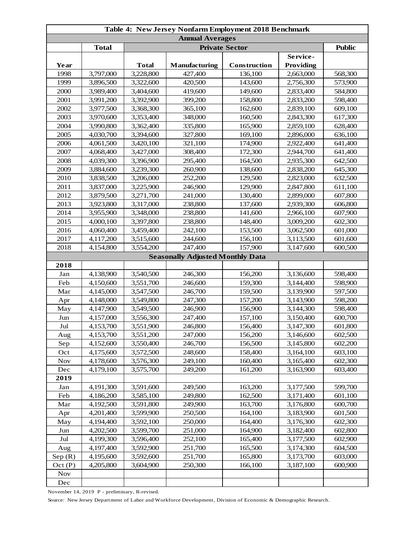| Table 4: New Jersey Nonfarm Employment 2018 Benchmark |              |                       |                                         |              |           |         |  |
|-------------------------------------------------------|--------------|-----------------------|-----------------------------------------|--------------|-----------|---------|--|
| <b>Annual Averages</b>                                |              |                       |                                         |              |           |         |  |
|                                                       | <b>Total</b> | <b>Private Sector</b> |                                         |              |           |         |  |
|                                                       |              |                       |                                         |              | Service-  |         |  |
| Year                                                  |              | <b>Total</b>          | Manufacturing                           | Construction | Providing |         |  |
| 1998                                                  | 3,797,000    | 3,228,800             | 427,400                                 | 136,100      | 2,663,000 | 568,300 |  |
| 1999                                                  | 3,896,500    | 3,322,600             | 420,500                                 | 143,600      | 2,756,300 | 573,900 |  |
| 2000                                                  | 3,989,400    | 3,404,600             | 419,600                                 | 149,600      | 2,833,400 | 584,800 |  |
| 2001                                                  | 3,991,200    | 3,392,900             | 399,200                                 | 158,800      | 2,833,200 | 598,400 |  |
| 2002                                                  | 3,977,500    | 3,368,300             | 365,100                                 | 162,600      | 2,839,100 | 609,100 |  |
| 2003                                                  | 3,970,600    | 3,353,400             | 348,000                                 | 160,500      | 2,843,300 | 617,300 |  |
| 2004                                                  | 3,990,800    | 3,362,400             | 335,800                                 | 165,900      | 2,859,100 | 628,400 |  |
| 2005                                                  | 4,030,700    | 3,394,600             | 327,800                                 | 169,100      | 2,896,000 | 636,100 |  |
| 2006                                                  | 4,061,500    | 3,420,100             | 321,100                                 | 174,900      | 2,922,400 | 641,400 |  |
| 2007                                                  | 4,068,400    | 3,427,000             | 308,400                                 | 172,300      | 2,944,700 | 641,400 |  |
| 2008                                                  | 4,039,300    | 3,396,900             | 295,400                                 | 164,500      | 2,935,300 | 642,500 |  |
| 2009                                                  | 3,884,600    | 3,239,300             | 260,900                                 | 138,600      | 2,838,200 | 645,300 |  |
| 2010                                                  | 3,838,500    | 3,206,000             | 252,200                                 | 129,500      | 2,823,000 | 632,500 |  |
| 2011                                                  | 3,837,000    | 3,225,900             | 246,900                                 | 129,900      | 2,847,800 | 611,100 |  |
| 2012                                                  | 3,879,500    | 3,271,700             | 241,000                                 | 130,400      | 2,899,000 | 607,800 |  |
| 2013                                                  | 3,923,800    | 3,317,000             | 238,800                                 | 137,600      | 2,939,300 | 606,800 |  |
| 2014                                                  | 3,955,900    | 3,348,000             | 238,800                                 | 141,600      | 2,966,100 | 607,900 |  |
| 2015                                                  | 4,000,100    | 3,397,800             | 238,800                                 | 148,400      | 3,009,200 | 602,300 |  |
| 2016                                                  | 4,060,400    | 3,459,400             | 242,100                                 | 153,500      | 3,062,500 | 601,000 |  |
| 2017                                                  | 4,117,200    | 3,515,600             | 244,600                                 | 156,100      | 3,113,500 | 601,600 |  |
| 2018                                                  | 4,154,800    | 3,554,200             | 247,400                                 | 157,900      | 3,147,600 | 600,500 |  |
|                                                       |              |                       | <b>Seasonally Adjusted Monthly Data</b> |              |           |         |  |
| 2018                                                  |              |                       |                                         |              |           |         |  |
| Jan                                                   | 4,138,900    | 3,540,500             | 246,300                                 | 156,200      | 3,136,600 | 598,400 |  |
| Feb                                                   | 4,150,600    | 3,551,700             | 246,600                                 | 159,300      | 3,144,400 | 598,900 |  |
| Mar                                                   | 4,145,000    | 3,547,500             | 246,700                                 | 159,500      | 3,139,900 | 597,500 |  |
| Apr                                                   | 4,148,000    | 3,549,800             | 247,300                                 | 157,200      | 3,143,900 | 598,200 |  |
| May                                                   | 4,147,900    | 3,549,500             | 246,900                                 | 156,900      | 3,144,300 | 598,400 |  |
| Jun                                                   | 4,157,000    | 3,556,300             | 247,400                                 | 157,100      | 3,150,400 | 600,700 |  |
| Jul                                                   | 4,153,700    | 3,551,900             | 246,800                                 | 156,400      | 3,147,300 | 601,800 |  |
| Aug                                                   | 4,153,700    | 3,551,200             | 247,000                                 | 156,200      | 3,146,600 | 602,500 |  |
| Sep                                                   | 4,152,600    | 3,550,400             | 246,700                                 | 156,500      | 3,145,800 | 602,200 |  |
| Oct                                                   | 4,175,600    | 3,572,500             | 248,600                                 | 158,400      | 3,164,100 | 603,100 |  |
| <b>Nov</b>                                            | 4,178,600    | 3,576,300             | 249,100                                 | 160,400      | 3,165,400 | 602,300 |  |
| Dec                                                   | 4,179,100    | 3,575,700             | 249,200                                 | 161,200      | 3,163,900 | 603,400 |  |
| 2019                                                  |              |                       |                                         |              |           |         |  |
| Jan                                                   | 4,191,300    | 3,591,600             | 249,500                                 | 163,200      | 3,177,500 | 599,700 |  |
| Feb                                                   | 4,186,200    | 3,585,100             | 249,800                                 | 162,500      | 3,171,400 | 601,100 |  |
| Mar                                                   | 4,192,500    | 3,591,800             | 249,900                                 | 163,700      | 3,176,800 | 600,700 |  |
| Apr                                                   | 4,201,400    | 3,599,900             | 250,500                                 | 164,100      | 3,183,900 | 601,500 |  |
| May                                                   | 4,194,400    | 3,592,100             | 250,000                                 | 164,400      | 3,176,300 | 602,300 |  |
| Jun                                                   | 4,202,500    | 3,599,700             | 251,000                                 | 164,900      | 3,182,400 | 602,800 |  |
| Jul                                                   | 4,199,300    | 3,596,400             | 252,100                                 | 165,400      | 3,177,500 | 602,900 |  |
| Aug                                                   | 4,197,400    | 3,592,900             | 251,700                                 | 165,500      | 3,174,300 | 604,500 |  |
| Sep(R)                                                | 4,195,600    | 3,592,600             | 251,700                                 | 165,800      | 3,173,700 | 603,000 |  |
| Oct(P)                                                | 4,205,800    | 3,604,900             | 250,300                                 | 166,100      | 3,187,100 | 600,900 |  |
| <b>Nov</b>                                            |              |                       |                                         |              |           |         |  |
| Dec                                                   |              |                       |                                         |              |           |         |  |

November 14, 2019 P - preliminary, R-revised.

Source: New Jersey Department of Labor and Workforce Development, Division of Economic & Demographic Research.